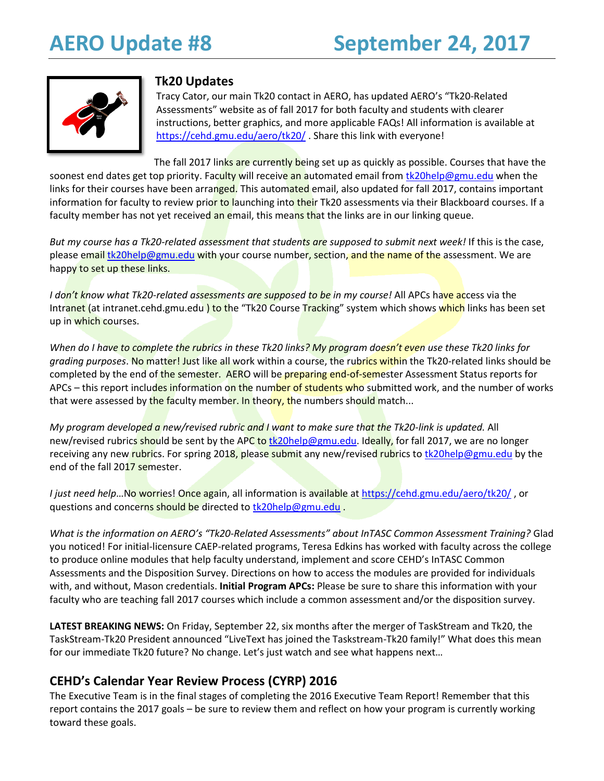

## **Tk20 Updates**

Tracy Cator, our main Tk20 contact in AERO, has updated AERO's "Tk20-Related Assessments" website as of fall 2017 for both faculty and students with clearer instructions, better graphics, and more applicable FAQs! All information is available at <https://cehd.gmu.edu/aero/tk20/> . Share this link with everyone!

The fall 2017 links are currently being set up as quickly as possible. Courses that have the soonest end dates get top priority. Faculty will receive an automated email from [tk20help@gmu.edu](mailto:tk20help@gmu.edu) when the links for their courses have been arranged. This automated email, also updated for fall 2017, contains important information for faculty to review prior to launching into their Tk20 assessments via their Blackboard courses. If a faculty member has not yet received an email, this means that the links are in our linking queue.

*But my course has a Tk20-related assessment that students are supposed to submit next week!* If this is the case, please email [tk20help@gmu.edu](mailto:tk20help@gmu.edu) with your course number, section, and the name of the assessment. We are happy to set up these links.

*I don't know what Tk20-related assessments are supposed to be in my course!* All APCs have access via the Intranet (at intranet.cehd.gmu.edu) to the "Tk20 Course Tracking" system which shows which links has been set up in which courses.

*When do I have to complete the rubrics in these Tk20 links? My program doesn't even use these Tk20 links for grading purposes*. No matter! Just like all work within a course, the rubrics within the Tk20-related links should be completed by the end of the semester. AERO will be preparing end-of-semester Assessment Status reports for APCs – this report includes information on the number of students who submitted work, and the number of works that were assessed by the faculty member. In theory, the numbers should match...

*My program developed a new/revised rubric and I want to make sure that the Tk20-link is updated.* All new/revised rubrics should be sent by the APC to [tk20help@gmu.edu.](mailto:tk20help@gmu.edu) Ideally, for fall 2017, we are no longer receiving any new rubrics. For spring 2018, please submit any new/revised rubrics t[o tk20help@gmu.edu](mailto:tk20help@gmu.edu) by the end of the fall 2017 semester.

*I just need help*…No worries! Once again, all information is available a[t https://cehd.gmu.edu/aero/tk20/](https://cehd.gmu.edu/aero/tk20/) , or questions and concerns should be directed to [tk20help@gmu.edu](mailto:tk20help@gmu.edu).

*What is the information on AERO's "Tk20-Related Assessments" about InTASC Common Assessment Training?* Glad you noticed! For initial-licensure CAEP-related programs, Teresa Edkins has worked with faculty across the college to produce online modules that help faculty understand, implement and score CEHD's InTASC Common Assessments and the Disposition Survey. Directions on how to access the modules are provided for individuals with, and without, Mason credentials. **Initial Program APCs:** Please be sure to share this information with your faculty who are teaching fall 2017 courses which include a common assessment and/or the disposition survey.

**LATEST BREAKING NEWS:** On Friday, September 22, six months after the merger of TaskStream and Tk20, the TaskStream-Tk20 President announced "LiveText has joined the Taskstream-Tk20 family!" What does this mean for our immediate Tk20 future? No change. Let's just watch and see what happens next…

# **CEHD's Calendar Year Review Process (CYRP) 2016**

The Executive Team is in the final stages of completing the 2016 Executive Team Report! Remember that this report contains the 2017 goals – be sure to review them and reflect on how your program is currently working toward these goals.